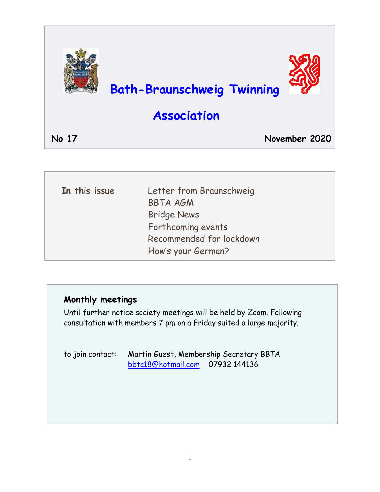

| In this issue | Letter from Braunschweig |
|---------------|--------------------------|
|               | <b>BBTA AGM</b>          |
|               | <b>Bridge News</b>       |
|               | Forthcoming events       |
|               | Recommended for lockdown |
|               | How's your German?       |

### **Monthly meetings**

Until further notice society meetings will be held by Zoom. Following consultation with members 7 pm on a Friday suited a large majority.

| to join contact: Martin Guest, Membership Secretary BBTA |  |
|----------------------------------------------------------|--|
| bbta18@hotmail.com 07932 144136                          |  |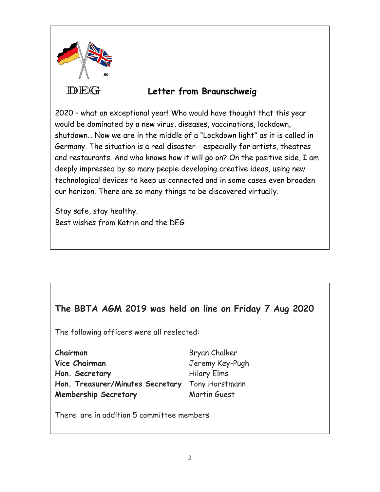

### **Letter from Braunschweig**

2020 – what an exceptional year! Who would have thought that this year would be dominated by a new virus, diseases, vaccinations, lockdown, shutdown… Now we are in the middle of a "Lockdown light" as it is called in Germany. The situation is a real disaster - especially for artists, theatres and restaurants. And who knows how it will go on? On the positive side, I am deeply impressed by so many people developing creative ideas, using new technological devices to keep us connected and in some cases even broaden our horizon. There are so many things to be discovered virtually.

Stay safe, stay healthy. Best wishes from Katrin and the DEG

### **The BBTA AGM 2019 was held on line on Friday 7 Aug 2020**

The following officers were all reelected:

| Chairman                         | Bryan Chalker      |
|----------------------------------|--------------------|
| Vice Chairman                    | Jeremy Key-Pugh    |
| Hon. Secretary                   | <b>Hilary Elms</b> |
| Hon. Treasurer/Minutes Secretary | Tony Horstmann     |
| <b>Membership Secretary</b>      | Martin Guest       |

There are in addition 5 committee members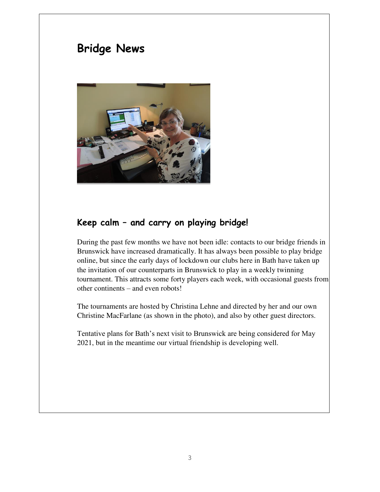# **Bridge News**



#### **Keep calm – and carry on playing bridge!**

During the past few months we have not been idle: contacts to our bridge friends in Brunswick have increased dramatically. It has always been possible to play bridge online, but since the early days of lockdown our clubs here in Bath have taken up the invitation of our counterparts in Brunswick to play in a weekly twinning tournament. This attracts some forty players each week, with occasional guests from other continents – and even robots!

The tournaments are hosted by Christina Lehne and directed by her and our own Christine MacFarlane (as shown in the photo), and also by other guest directors.

Tentative plans for Bath's next visit to Brunswick are being considered for May 2021, but in the meantime our virtual friendship is developing well.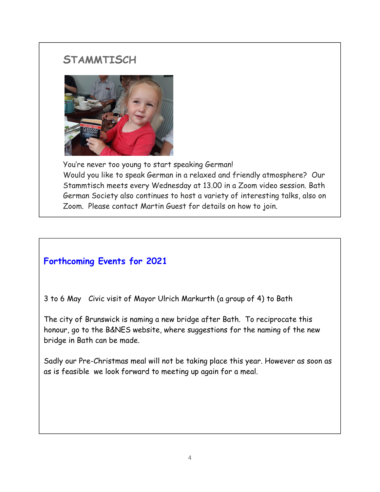# **STAMMTISCH**



You're never too young to start speaking German! Would you like to speak German in a relaxed and friendly atmosphere? Our Stammtisch meets every Wednesday at 13.00 in a Zoom video session. Bath German Society also continues to host a variety of interesting talks, also on Zoom. Please contact Martin Guest for details on how to join.

## **Forthcoming Events for 2021**

3 to 6 May Civic visit of Mayor Ulrich Markurth (a group of 4) to Bath

 $\mathsf{r}$ The city of Brunswick is naming a new bridge after Bath. To reciprocate this honour, go to the B&NES website, where suggestions for the naming of the new bridge in Bath can be made.

ĺ Sadly our Pre-Christmas meal will not be taking place this year. However as soon as as is feasible we look forward to meeting up again for a meal.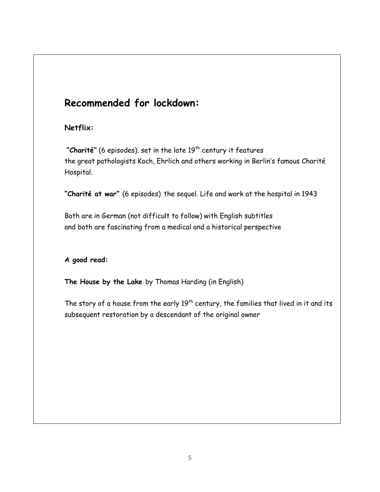# **Recommended for lockdown:**

#### **Netflix:**

"Charité" (6 episodes). set in the late 19<sup>th</sup> century it features the great pathologists Koch, Ehrlich and others working in Berlin's famous Charité Hospital.

**"Charité at war"** (6 episodes) the sequel. Life and work at the hospital in 1943

Both are in German (not difficult to follow) with English subtitles and both are fascinating from a medical and a historical perspective

#### **A good read:**

**The House by the Lake** by Thomas Harding (in English)

The story of a house from the early  $19<sup>th</sup>$  century, the families that lived in it and its subsequent restoration by a descendant of the original owner